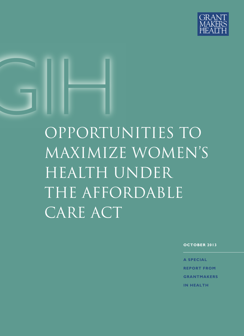

# GIHE<br>GIHE<br>GEPORTI opportunities to maximize women's health under the affordable CARE ACT

**OCTOBER 2013**

**A SPECIAL REPORT FROM GRANTMAKERS IN HEALTH**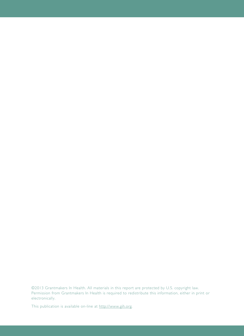©2013 Grantmakers In Health. All materials in this report are protected by U.S. copyright law. Permission from Grantmakers In Health is required to redistribute this information, either in print or electronically.

This publication is available on-line at [http://www.gih.org.](http://www.gih.org)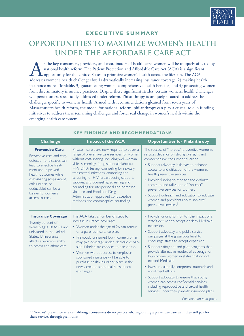

#### **EXECUTIVE SUMMARY**

## **OPPORTUNITIES TO MAXIMIZE WOMEN'S HEALTH UNDER THE AFFORDABLE CARE ACT**

s the key consumers, providers, and coordinators of health care, women will be uniquely affected by<br>national health reform. The Patient Protection and Affordable Care Act (ACA) is a significant<br>opportunity for the United S national health reform. The Patient Protection and Affordable Care Act (ACA) is a significant opportunity for the United States to prioritize women's health across the lifespan. The ACA addresses women's health challenges by: 1) dramatically increasing insurance coverage, 2) making health insurance more affordable, 3) guaranteeing women comprehensive health benefits, and 4) protecting women from discriminatory insurance practices. Despite these significant strides, certain women's health challenges will persist unless specifically addressed under reform. Philanthropy is uniquely situated to address the challenges specific to women's health. Armed with recommendations gleaned from seven years of Massachusetts health reform, the model for national reform, philanthropy can play a crucial role in funding initiatives to address these remaining challenges and foster real change in women's health within the emerging health care system.

| <b>Preventive Care</b><br>Preventive care and early<br>detection of diseases can<br>lead to effective treat-<br>ment and improved<br>health outcomes while<br>cost-sharing (copayment,<br>coinsurance, or<br>deductible) can be a<br>barrier to women's<br>access to care.<br><b>Insurance Coverage</b><br>Twenty percent of<br>women ages 18 to 64 are<br>uninsured in the United<br>States, Uninsurance<br>affects a woman's ability<br>to access and afford care. | <b>Impact of the ACA</b>                                                                                                                                                                                                                                                                                                                                                                                                                                                                                                              | <b>Opportunities for Philanthropy</b>                                                                                                                                                                                                                                                                                                                                                                                                                                                                                                                                                                                                                                                  |
|----------------------------------------------------------------------------------------------------------------------------------------------------------------------------------------------------------------------------------------------------------------------------------------------------------------------------------------------------------------------------------------------------------------------------------------------------------------------|---------------------------------------------------------------------------------------------------------------------------------------------------------------------------------------------------------------------------------------------------------------------------------------------------------------------------------------------------------------------------------------------------------------------------------------------------------------------------------------------------------------------------------------|----------------------------------------------------------------------------------------------------------------------------------------------------------------------------------------------------------------------------------------------------------------------------------------------------------------------------------------------------------------------------------------------------------------------------------------------------------------------------------------------------------------------------------------------------------------------------------------------------------------------------------------------------------------------------------------|
|                                                                                                                                                                                                                                                                                                                                                                                                                                                                      | Private insurers are now required to cover a<br>range of preventive care services for women<br>without cost-sharing, including well-woman<br>visits; screenings for gestational diabetes;<br>HPV DNA testing; counseling for sexually<br>transmitted infections; counseling and<br>screening for HIV; breastfeeding support,<br>supplies, and counseling; screening and<br>counseling for interpersonal and domestic<br>violence; and Food and Drug<br>Administration-approved contraceptive<br>methods and contraceptive counseling. | The success of "no-cost" preventive women's<br>services depends on strong oversight and<br>comprehensive consumer education.<br>• Support advocacy initiatives to enhance<br>access to and utilization of the women's<br>health preventive services.<br>• Provide funding to monitor and evaluate<br>access to and utilization of "no-cost"<br>preventive services for women.<br>• Support outreach and education to educate<br>women and providers about "no-cost"<br>preventive services. <sup>i</sup>                                                                                                                                                                               |
|                                                                                                                                                                                                                                                                                                                                                                                                                                                                      | The ACA takes a number of steps to<br>increase insurance coverage:<br>• Women under the age of 26 can remain<br>on a parent's insurance plan.<br>• Previously uninsured low-income women<br>may gain coverage under Medicaid expan-<br>sion if their state chooses to participate.<br>• Women without access to employer-<br>sponsored insurance will be able to<br>purchase health insurance plans in the<br>newly created state health insurance<br>exchanges.                                                                      | • Provide funding to monitor the impact of a<br>state's decision to accept or deny Medicaid<br>expansion.<br>• Support advocacy and public service<br>campaigns at the grassroots level to<br>encourage states to accept expansion.<br>• Support safety net and pilot programs that<br>provide alternative models of coverage for<br>low-income women in states that do not<br>expand Medicaid.<br>• Invest in culturally competent outreach and<br>enrollment efforts.<br>• Support advocacy to ensure that young<br>women can access confidential services,<br>including reproductive and sexual health<br>services under their parents' insurance plans.<br>Continued on next page. |

#### **KEY FINDINGS AND RECOMMENDATIONS**

i "No-cost" preventive services: although consumers do no pay cost-sharing during a preventive care visit, they still pay for these services through premiums.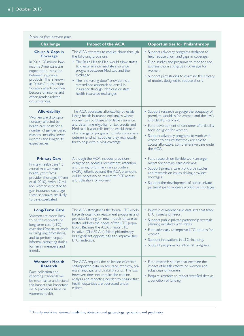| Continued from previous page.                                                                                                                                                                                                                                                                         |                                                                                                                                                                                                                                                                                                                                                                     |                                                                                                                                                                                                                                                                                                                                                  |  |  |
|-------------------------------------------------------------------------------------------------------------------------------------------------------------------------------------------------------------------------------------------------------------------------------------------------------|---------------------------------------------------------------------------------------------------------------------------------------------------------------------------------------------------------------------------------------------------------------------------------------------------------------------------------------------------------------------|--------------------------------------------------------------------------------------------------------------------------------------------------------------------------------------------------------------------------------------------------------------------------------------------------------------------------------------------------|--|--|
| <b>Challenge</b>                                                                                                                                                                                                                                                                                      | <b>Impact of the ACA</b>                                                                                                                                                                                                                                                                                                                                            | <b>Opportunities for Philanthropy</b>                                                                                                                                                                                                                                                                                                            |  |  |
| <b>Churn &amp; Gaps in</b><br><b>Coverage</b><br>In 2014, 28 million low-<br>income Americans are<br>expected to transition<br>between insurance<br>products. This is known<br>as "chum." It dispropor-<br>tionately affects women<br>because of income and<br>other gender-related<br>circumstances. | The ACA attempts to reduce churn through<br>the following provisions:<br>• The Basic Health Plan would allow states<br>to create an intermediate insurance<br>program between Medicaid and the<br>exchange.<br>• The "no wrong door" provision is a<br>streamlined approach to enroll in<br>insurance through Medicaid or state<br>health insurance exchanges.      | • Support advocacy programs designed to<br>help reduce churn and gaps in coverage.<br>• Fund studies and programs to monitor and<br>address churn and gaps in coverage for<br>women.<br>• Support pilot studies to examine the efficacy<br>of models designed to reduce churn.                                                                   |  |  |
| <b>Affordability</b><br>Women are dispropor-<br>tionately affected by<br>health care costs for a<br>number of gender-based<br>reasons, including lower<br>incomes and longer life<br>expectancies.                                                                                                    | The ACA addresses affordability by estab-<br>lishing health insurance exchanges where<br>women can purchase affordable insurance<br>and determine eligibility for tax credits and<br>Medicaid. It also calls for the establishment<br>of a "navigator program" to help consumers<br>determine which subsidies they may qualify<br>for to help with buying coverage. | • Support research to gauge the adequacy of<br>premium subsidies for women and the law's<br>affordability standard.<br>• Fund development of consumer affordability<br>tools designed for women.<br>• Support advocacy programs to work with<br>women to ensure that they are able to<br>access affordable, comprehensive care under<br>the ACA. |  |  |
| <b>Primary Care</b><br>Primary health care <sup>ii</sup> is<br>crucial to a woman's<br>health, yet it faces<br>provider shortages (Mann<br>et al. 2010). With 17 mil-<br>lion women expected to<br>gain insurance coverage,<br>these shortages are likely<br>to be exacerbated.                       | Although the ACA includes provisions<br>designed to address recruitment, retention,<br>and training of primary care providers<br>(PCPs), efforts beyond the ACA provisions<br>will be necessary to maximize PCP access<br>and utilization for women.                                                                                                                | • Fund research on flexible work arrange-<br>ments for primary care clinicians.<br>• Support primary care workforce studies<br>and research on issues driving provider<br>shortages.<br>• Support the development of public-private<br>partnerships to address workforce shortages.                                                              |  |  |
| <b>Long-Term Care</b><br>Women are more likely<br>to be the recipients of<br>long-term care (LTC)<br>over the lifespan, to work<br>in caregiving professions,<br>and to perform unpaid<br>informal caregiving duties<br>for family members and<br>friends.                                            | The ACA strengthens the formal LTC work-<br>force through loan repayment programs and<br>provides funding for new models of care to<br>better address the needs of the LTC popu-<br>lation. Because the ACA's major LTC<br>initiative (CLASS Act) failed, philanthropy<br>has significant opportunities to improve the<br>LTC landscape.                            | • Invest in comprehensive data sets that track<br>LTC issues and needs.<br>• Support public-private partnership strategic<br>planning initiatives with states.<br>• Fund advocacy to improve LTC options for<br>women.<br>• Support innovations in LTC financing.<br>• Support programs for informal caregivers.                                 |  |  |
| <b>Women's Health</b><br><b>Research</b><br>Data collection and<br>reporting standards will<br>be essential to understand<br>the impact that important<br>ACA provisions have on<br>women's health.                                                                                                   | The ACA requires the collection of certain<br>self-reported data on sex, race, ethnicity, pri-<br>mary language, and disability status. The law,<br>however, does not require the routine<br>analysis and reporting needed to ensure that<br>health disparities are addressed under<br>reform.                                                                      | • Fund research studies that examine the<br>impact of health reform on women and<br>subgroups of women.<br>• Require grantees to report stratified data as<br>a condition of funding.                                                                                                                                                            |  |  |

ii Family medicine, internal medicine, obstetrics and gynecology, geriatrics, and psychiatry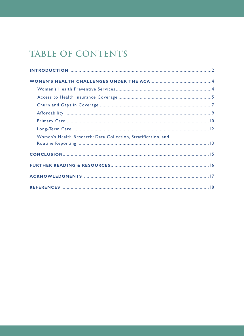# **TABLE OF CONTENTS**

| Women's Health Research: Data Collection, Stratification, and |  |
|---------------------------------------------------------------|--|
|                                                               |  |
|                                                               |  |
|                                                               |  |
|                                                               |  |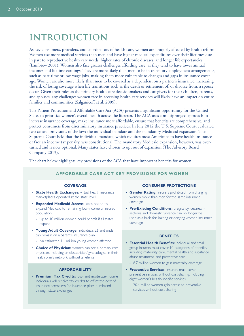## **introduction**

As key consumers, providers, and coordinators of health care, women are uniquely affected by health reform. Women use more medical services than men and have higher medical expenditures over their lifetimes due in part to reproductive health care needs, higher rates of chronic diseases, and longer life expectancies (Lambrew 2001). Women also face greater challenges affording care, as they tend to have lower annual incomes and lifetime earnings. They are more likely than men to be in transitory employment arrangements, such as part-time or low-wage jobs, making them more vulnerable to changes and gaps in insurance coverage. Women are also more likely than men to be covered as a dependent on a partner's insurance, increasing the risk of losing coverage when life transitions such as the death or retirement of, or divorce from, a spouse occur. Given their roles as the primary health care decisionmakers and caregivers for their children, parents, and spouses, any challenges women face in accessing health care services will likely have an impact on entire families and communities (Salganicoff et al. 2005).

The Patient Protection and Affordable Care Act (ACA) presents a significant opportunity for the United States to prioritize women's overall health across the lifespan. The ACA uses a multipronged approach to increase insurance coverage, make insurance more affordable, ensure that benefits are comprehensive, and protect consumers from discriminatory insurance practices. In July 2012 the U.S. Supreme Court evaluated two central provisions of the law: the individual mandate and the mandatory Medicaid expansion. The Supreme Court held that the individual mandate, which requires most Americans to have health insurance or face an income tax penalty, was constitutional. The mandatory Medicaid expansion, however, was overturned and is now optional. Many states have chosen to opt out of expansion (The Advisory Board Company 2013).

The chart below highlights key provisions of the ACA that have important benefits for women.

#### **AFFORDABLE CARE ACT KEY PROVISIONS FOR WOMEN**

#### **COVERAGE**

- **State Health Exchanges:** virtual health insurance marketplaces operated at the state level
- **Expanded Medicaid Access:** state option to expand Medicaid to remaining low-income uninsured population
	- Up to 10 million women could benefit if all states expand
- **Young Adult Coverage:** individuals 26 and under can remain on a parent's insurance plan
	- An estimated 1.1 million young women affected
- **Choice of Physician:** women can see a primary care physician, including an obstetrician/gynecologist, in their health plan's network without a referral

#### **AFFORDABILITY**

• **Premium Tax Credits:** low- and moderate-income individuals will receive tax credits to offset the cost of insurance premiums for insurance plans purchased through state exchanges

#### **CONSUMER PROTECTIONS**

- **Gender Rating:** insurers prohibited from charging women more than men for the same insurance coverage
- **Pre-Existing Conditions:** pregnancy, cesareansections and domestic violence can no longer be used as a basis for limiting or denying women insurance coverage

#### **BENEFITS**

- **Essential Health Benefits:** individual and small group insurers must cover 10 categories of benefits, including maternity care, mental health and substance abuse treatment, and preventive care
	- 8.7 million women to gain maternity coverage
- **Preventive Services:** insurers must cover preventive services without cost-sharing, including eight women's health-specific services
	- 20.4 million women gain access to preventive services without cost-sharing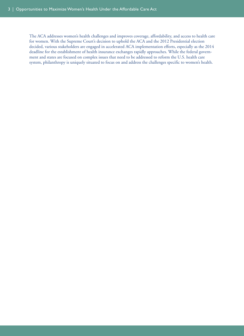The ACA addresses women's health challenges and improves coverage, affordability, and access to health care for women. With the Supreme Court's decision to uphold the ACA and the 2012 Presidential election decided, various stakeholders are engaged in accelerated ACA implementation efforts, especially as the 2014 deadline for the establishment of health insurance exchanges rapidly approaches. While the federal government and states are focused on complex issues that need to be addressed to reform the U.S. health care system, philanthropy is uniquely situated to focus on and address the challenges specific to women's health.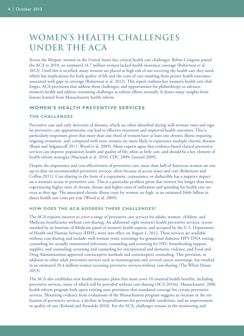## **women's health challenges under the aca**

Across the lifespan, women in the United States face critical health care challenges. Before Congress passed the ACA in 2010, an estimated 18.7 million women lacked health insurance coverage (Robertson et al. 2012). Until this is rectified, many women are placed at high risk of not receiving the health care they need, which has implications for both quality of life and the costs of care resulting from poorer health outcomes associated with gaps in coverage (Robertson et al. 2012). This report outlines key women's health care challenges, ACA provisions that address these challenges, and opportunities for philanthropy to advance women's health and address remaining challenges as reform efforts intensify. It draws many insights from lessons learned from Massachusetts health reform.

#### **WOMEN'S HEALTH PREVENTIVE SERVICES**

#### **THE CHALLENGES**

Preventive care and early detection of diseases, which are often identified during well-woman visits and regular preventive care appointments, can lead to effective treatment and improved health outcomes. This is particularly important given that more than one-third of women have at least one chronic illness requiring ongoing treatment, and, compared with men, women are more likely to experience multiple chronic diseases (Ranji and Salganicoff 2011; Wood et al. 2009). Many experts agree that evidence-based clinical preventive services can improve population health and quality of life, often at little cost, and should be a key element of health reform strategies (Maciosek et al. 2010; CDC 2009; Goetzel 2009).

Despite the importance and cost-effectiveness of preventive care, more than half of American women are not up-to-date on recommended preventive services, often because of access issues and cost (Robertson and Collins 2011). Cost-sharing in the form of a copayment, coinsurance, or deductible has a negative impact on a woman's access to preventive care. This is a particular problem given that women live longer than men, experiencing higher rates of chronic disease and higher rates of utilization and spending for health care services as they age. The associated chronic illness costs for women are high, at an estimated \$466 billion in direct health care costs per year (Wood et al. 2009).

#### **HOW DOES THE ACA ADDRESS THESE CHALLENGES?**

The ACA requires insurers to cover a range of preventive care services for adults, women, children, and Medicare beneficiaries without cost-sharing. An additional eight women's health preventive services, recommended by an Institute of Medicine panel of women's health experts, and accepted by the U.S. Department of Health and Human Services (HHS), went into effect on August 1, 2012. These services are available without cost-sharing and include: well-woman visits; screenings for gestational diabetes; HPV DNA testing; counseling for sexually transmitted infections; counseling and screening for HIV; breastfeeding support, supplies, and counseling; screening and counseling for interpersonal and domestic violence; and Food and Drug Administration-approved contraceptive methods and contraceptive counseling. This provision, in addition to other adult preventive services such as mammograms and cervical cancer screenings, has resulted in an estimated 20.4 million women accessing preventive services without cost-sharing (The White House 2013).

The ACA also establishes new health insurance plans that must cover 10 essential health benefits, including preventive services, many of which will be provided without cost-sharing (ACA 2010a). Massachusetts' 2006 health reform program built upon existing state provisions that mandated coverage for certain preventive services. Mounting evidence from evaluations of the Massachusetts program suggests an increase in the utilization of preventive services, a decline in hospitalizations for preventable conditions, and an improvement in quality of care (Kolstad and Kowalski 2010). For the ACA, challenges remain in the monitoring and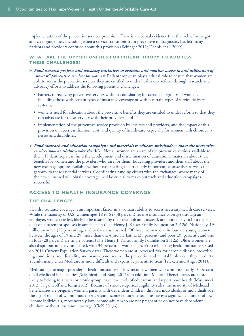implementation of the preventive services provision. There is anecdotal evidence that the lack of oversight and clear guidelines, including when a service transitions from preventive to diagnostic, has left many patients and providers confused about this provision (Bebinger 2011; Dennis et al. 2009).

#### **WHAT ARE THE OPPORTUNITIES FOR PHILANTHROPY TO ADDRESS THESE CHALLENGES?**

- **➤** *Fund research projects and advocacy initiatives to evaluate and monitor access to and utilization of "no-cost" preventive services for women.* Philanthropy can play a critical role to ensure that women are able to access the preventive services they are entitled to under health care reform through research and advocacy efforts to address the following potential challenges:
	- barriers to receiving preventive services without cost-sharing for certain subgroups of women, including those with certain types of insurance coverage or within certain types of service delivery systems;
	- women's need for education about the preventive benefits they are entitled to under reform so that they can advocate for these services with their providers; and
	- implementation of the preventive service provision by insurers and providers, and the impact of this provision on access, utilization, cost, and quality of health care, especially for women with chronic illnesses and disabilities.
- **➤** *Fund outreach and education campaigns and materials to educate stakeholders about the preventive services now available under the ACA.* Not all women are aware of the preventive services available to them. Philanthropy can fund the development and dissemination of educational materials about these benefits for women and the providers who care for them. Educating providers and their staff about the new coverage options available without cost-sharing is particularly important because they serve as the gateway to these essential services. Coordinating funding efforts with the exchanges, where many of the newly insured will obtain coverage, will be crucial to make outreach and education campaigns successful.

#### **ACCESS TO HEALTH INSURANCE COVERAGE**

#### **THE CHALLENGES**

Health insurance coverage is an important factor in a woman's ability to access necessary health care services. While the majority of U.S. women ages 18 to 64 (58 percent) receive insurance coverage through an employer, women are less likely to be insured by their own job and, instead, are more likely to be a dependent on a parent or spouse's insurance plan (The Henry J. Kaiser Family Foundation 2012a). Nationally, 19 million women (20 percent) ages 18 to 64 are uninsured. Of those women, one in four are young women between the ages of 19 and 25, more than one-third are Latina (38 percent) and poor (39 percent), and one in four (28 percent) are single parents (The Henry J. Kaiser Family Foundation 2012a). Older women are also disproportionately uninsured, with 34 percent of women ages 45 to 64 lacking health insurance (based on 2011 Current Population Survey data). These women are at increased risk for chronic disease, pre-existing conditions, and disability, and many do not receive the preventive and mental health care they need. As a result, many enter Medicare as more difficult and expensive patients to treat (Prickett and Angel 2011).

Medicaid is the major provider of health insurance for low-income women who comprise nearly 70 percent of all Medicaid beneficiaries (Salganicoff and Ranji 2012). In addition, Medicaid beneficiaries are more likely to belong to a racial or ethnic group, have low levels of education, and report poor health (Musumeci 2012; Salganicoff and Ranji 2012). Because of strict categorical eligibility rules, the majority of Medicaid beneficiaries are pregnant women, parents with dependent children, disabled individuals, or individuals over the age of 65, all of whom must meet certain income requirements. This leaves a significant number of lowincome individuals, most notably low-income adults who are not pregnant or do not have dependent children, without insurance coverage (CMS 2013a).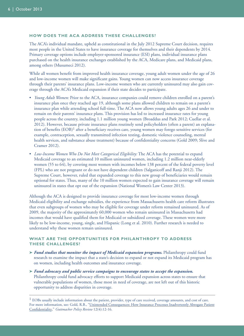#### **HOW DOES THE ACA ADDRESS THESE CHALLENGES?**

The ACA's individual mandate, upheld as constitutional in the July 2012 Supreme Court decision, requires most people in the United States to have insurance coverage for themselves and their dependents by 2014. Primary coverage options include employer-sponsored insurance (ESI) plans, individual insurance plans purchased on the health insurance exchanges established by the ACA, Medicare plans, and Medicaid plans, among others (Musumeci 2012).

While all women benefit from improved health insurance coverage, young adult women under the age of 26 and low-income women will make significant gains. Young women can now access insurance coverage through their parents' insurance plans. Low-income women who are currently uninsured may also gain coverage through the ACA's Medicaid expansion if their state decides to participate.

- *Young Adult Women:* Prior to the ACA, insurance companies could remove children enrolled on a parent's insurance plan once they reached age 19, although some plans allowed children to remain on a parent's insurance plan while attending school full-time. The ACA now allows young adults ages 26 and under to remain on their parents' insurance plans. This provision has led to increased insurance rates for young people across the country, including 1.1 million young women (Broaddus and Park 2012; Cuellar et al. 2012). However, because private insurance plans routinely send policyholders (often a parent) an explanation of benefits  $(EOB)^1$  after a beneficiary receives care, young women may forego sensitive services (for example, contraception, sexually transmitted infection testing, domestic violence counseling, mental health services, and substance abuse treatment) because of confidentiality concerns (Gold 2009; Slive and Cramer 2012).
- *Low-Income Women Who Do Not Meet Categorical Eligibility:* The ACA has the potential to expand Medicaid coverage to an estimated 10 million uninsured women, including 1.2 million near-elderly women (55 to 64), by covering most women with incomes below 138 percent of the federal poverty level (FPL) who are not pregnant or do not have dependent children (Salganicoff and Ranji 2012). The Supreme Court, however, ruled that expanded coverage to this new group of beneficiaries would remain optional for states. Thus, many of the 10 million women expected to gain insurance coverage will remain uninsured in states that opt out of the expansion (National Women's Law Center 2013).

Although the ACA is designed to provide insurance coverage for most low-income women through Medicaid eligibility and exchange subsidies, the experience from Massachusetts health care reform illustrates that even subgroups of women who may be eligible for coverage under reform remained uninsured. As of 2009, the majority of the approximately 60,000 women who remain uninsured in Massachusetts had incomes that would have qualified them for Medicaid or subsidized coverage. These women were more likely to be low-income, young, single, and Hispanic (Long et al. 2010). Further research is needed to understand why these women remain uninsured.

#### **WHAT ARE THE OPPORTUNITIES FOR PHILANTHROPY TO ADDRESS THESE CHALLENGES?**

- **➤** *Fund studies that monitor the impact of Medicaid expansion programs.* Philanthropy could fund research to examine the impact that a state's decision to expand or not expand its Medicaid program has on women, including health outcomes and insurance coverage.
- **➤** *Fund advocacy and public service campaigns to encourage states to accept the expansion.* Philanthropy could fund advocacy efforts to support Medicaid expansion across states to ensure that vulnerable populations of women, those most in need of coverage, are not left out of this historic opportunity to address disparities in coverage.

 $<sup>1</sup>$  EOBs usually include information about the patient, provider, type of care received, coverage amounts, and cost of care.</sup> For more information, see: Gold, R.B., ["Unintended Consequences: How Insurance Processes Inadvertently Abrogate Patient](http://www.guttmacher.org/pubs/gpr/l2/4/gpr120412.pdf) [Confidentiality,](http://www.guttmacher.org/pubs/gpr/l2/4/gpr120412.pdf)" *Guttmacher Policy Review* 12(4):12-16.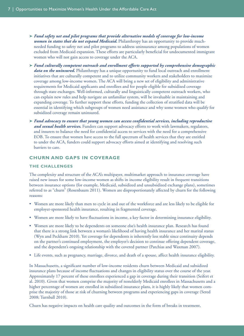- **➤** *Fund safety net and pilot programs that provide alternative models of coverage for low-income women in states that do not expand Medicaid.* Philanthropy has an opportunity to provide muchneeded funding to safety net and pilot programs to address uninsurance among populations of women excluded from Medicaid expansion. These efforts are particularly beneficial for undocumented immigrant women who will not gain access to coverage under the ACA.
- **➤** *Fund culturally competent outreach and enrollment efforts supported by comprehensive demographic data on the uninsured.* Philanthropy has a unique opportunity to fund local outreach and enrollment initiatives that are culturally competent and to utilize community workers and stakeholders to maximize coverage among low-income women. The ACA will bring a new set of eligibility and administrative requirements for Medicaid applicants and enrollees and for people eligible for subsidized coverage through state exchanges. Well-informed, culturally and linguistically competent outreach workers, who can explain new rules and help navigate an unfamiliar system, will be invaluable in maintaining and expanding coverage. To further support these efforts, funding the collection of stratified data will be essential in identifying which subgroups of women need assistance and why some women who qualify for subsidized coverage remain uninsured.
- **➤** *Fund advocacy to ensure that young women can access confidential services, including reproductive and sexual health services.* Funders can support advocacy efforts to work with lawmakers, regulators, and insurers to balance the need for confidential access to services with the need for a comprehensive EOB. To ensure that women have access to the full spectrum of health services that they are entitled to under the ACA, funders could support advocacy efforts aimed at identifying and resolving such barriers to care.

#### **CHURN AND GAPS IN COVERAGE**

#### **THE CHALLENGES**

The complexity and structure of the ACA's multipayer, multimarket approach to insurance coverage have raised new issues for some low-income women as shifts in income eligibility result in frequent transitions between insurance options (for example, Medicaid, subsidized and unsubsidized exchange plans), sometimes referred to as "churn" (Rosenbaum 2011). Women are disproportionately affected by churn for the following reasons:

- Women are more likely than men to cycle in and out of the workforce and are less likely to be eligible for employer-sponsored health insurance, resulting in fragmented coverage.
- Women are more likely to have fluctuations in income, a key factor in determining insurance eligibility.
- Women are more likely to be dependents on someone else's health insurance plan. Research has found that there is a strong link between a woman's likelihood of having health insurance and her marital status (Wyn and Peckham 2010). Yet coverage for dependents is inherently less stable since continuity depends on the partner's continued employment, the employer's decision to continue offering dependent coverage, and the dependent's ongoing relationship with the covered partner (Patchias and Waxman 2007).
- Life events, such as pregnancy, marriage, divorce, and death of a spouse, affect health insurance eligibility.

In Massachusetts, a significant number of low-income residents churn between Medicaid and subsidized insurance plans because of income fluctuations and changes in eligibility status over the course of the year. Approximately 17 percent of these enrollees experienced a gap in coverage during their transition (Seifert et al. 2010). Given that women comprise the majority of nonelderly Medicaid enrollees in Massachusetts and a higher percentage of women are enrolled in subsidized insurance plans, it is highly likely that women comprise the majority of those at risk of churning between programs and experiencing gaps in coverage (Sered 2008; Turnball 2010).

Churn has negative impacts on health care quality and outcomes in the form of breaks in treatment,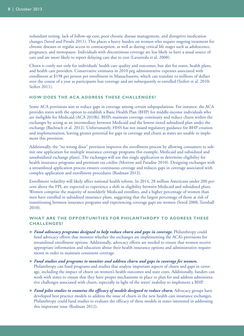redundant testing, lack of follow-up care, poor chronic disease management, and disruptive medication changes (Sered and Proulx 2011). This places a heavy burden on women who require ongoing treatment for chronic diseases or regular access to contraception, as well as during critical life stages such as adolescence, pregnancy, and menopause. Individuals with discontinous coverage are less likely to have a usual source of care and are more likely to report delaying care due to cost (Lavarreda et al. 2008).

Churn is costly not only for individuals' health care quality and outcomes, but also for states, health plans, and health care providers. Conservative estimates in 2010 peg administrative expenses associated with enrollment at \$198 per person per enrollment in Massachusetts, which can translate to millions of dollars over the course of a year as participants lose coverage and are subsequently re-enrolled (Seifert et al. 2010; Seifert 2011).

#### **HOW DOES THE ACA ADDRESS THESE CHALLENGES?**

Some ACA provisions aim to reduce gaps in coverage among certain subpopulations. For instance, the ACA provides states with the option to establish a Basic Health Plan (BHP) for middle-income individuals who are ineligible for Medicaid (ACA 2010b). BHPs maintain coverage continuity and reduce churn within the exchanges by acting as an intermediary between Medicaid and the lowest-tiered subsidized plan under the exchange (Bachrach et al. 2012). Unfortunately, HHS has not issued regulatory guidance for BHP creation and implementation, leaving greater potential for gaps in coverage and churn as states are unable to implement this provision.

Additionally, the "no wrong door" provision improves the enrollment process by allowing consumers to submit one application for multiple insurance coverage programs (for example, Medicaid and subsidized and unsubsidized exchange plans). The exchanges will use this single application to determine eligibility for health insurance programs and premium tax credits (Morrow and Paradise 2010). Designing exchanges with a streamlined application process ensures continuous coverage and reduces gaps in coverage associated with complex application and enrollment procedures (Rodman 2012).

Enrollment volatility will likely affect national health reform. In 2014, 28 million Americans under 200 percent above the FPL are expected to experience a shift in eligibility between Medicaid and subsidized plans. Women comprise the majority of nonelderly Medicaid enrollees, and a higher percentage of women than men have enrolled in subsidized insurance plans, suggesting that the largest percentage of those at risk of transitioning between insurance programs and experiencing coverage gaps are women (Sered 2008; Turnball 2010).

#### **WHAT ARE THE OPPORTUNITIES FOR PHILANTHROPY TO ADDRESS THESE CHALLENGES?**

- **➤** *Fund advocacy programs designed to help reduce churn and gaps in coverage.* Philanthropy could fund advocacy efforts that monitor whether the exchanges are implementing the ACA's provisions for streamlined enrollment options. Additionally, advocacy efforts are needed to ensure that women receive appropriate information and education about their health insurance options and administrative requirements in order to maintain consistent coverage.
- **➤** *Fund studies and programs to monitor and address churn and gaps in coverage for women.* Philanthropy can fund programs and studies that analyze important aspects of churn and gaps in coverage, including the impact of churn on women's health outcomes and state costs. Additionally, funders can work with states to ensure that they have proper mechanisms in place to plan for and address administrative challenges associated with churn, especially in light of the states' inability to implement a BHP.
- **➤** *Fund pilot studies to examine the efficacy of models designed to reduce churn.* Advocacy groups have developed best practice models to address the issue of churn in the new health care insurance exchanges. Philanthropy could fund studies to evaluate the efficacy of these models in states interested in addressing this important issue (Rodman 2012).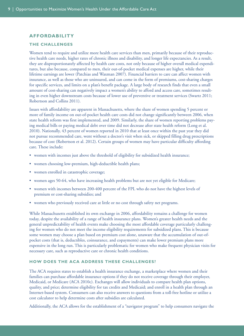#### **AFFORDABILITY**

#### **THE CHALLENGES**

Women tend to require and utilize more health care services than men, primarily because of their reproductive health care needs, higher rates of chronic illness and disability, and longer life expectancies. As a result, they are disproportionately affected by health care costs, not only because of higher overall medical expenditures, but also because, compared to men, their out-of-pocket medical expenses are higher, while their lifetime earnings are lower (Patchias and Waxman 2007). Financial barriers to care can affect women with insurance, as well as those who are uninsured, and can come in the form of premiums, cost-sharing charges for specific services, and limits on a plan's benefit package. A large body of research finds that even a small amount of cost-sharing can negatively impact a women's ability to afford and access care, sometimes resulting in even higher downstream costs because of lower use of preventive or treatment services (Swartz 2011; Robertson and Collins 2011).

Issues with affordability are apparent in Massachusetts, where the share of women spending 5 percent or more of family income on out-of-pocket health care costs did not change significantly between 2006, when state health reform was first implemented, and 2009. Similarly, the share of women reporting problems paying medical bills or paying medical debt over time did not decrease after state health reform (Long et al. 2010). Nationally, 43 percent of women reported in 2010 that at least once within the past year they did not pursue recommended care, went without a doctor's visit when sick, or skipped filling drug prescriptions because of cost (Robertson et al. 2012). Certain groups of women may have particular difficulty affording care. These include:

- women with incomes just above the threshold of eligibility for subsidized health insurance;
- women choosing low-premium, high-deductible health plans;
- women enrolled in catastrophic coverage;
- women ages 50-64, who have increasing health problems but are not yet eligible for Medicare;
- women with incomes between 200-400 percent of the FPL who do not have the highest levels of premium or cost-sharing subsidies; and
- women who previously received care at little or no cost through safety net programs.

While Massachusetts established its own exchange in 2006, affordability remains a challenge for women today, despite the availability of a range of health insurance plans. Women's greater health needs and the general unpredictability of health events make choosing the most affordable coverage particularly challenging for women who do not meet the income eligibility requirements for subsidized plans. This is because some women may choose a plan based on premium cost alone, unaware that the accumulation of out-ofpocket costs (that is, deductibles, coinsurance, and copayments) can make lower premium plans more expensive in the long run. This is particularly problematic for women who make frequent physician visits for necessary care, such as reproductive care or chronic health conditions.

#### **HOW DOES THE ACA ADDRESS THESE CHALLENGES?**

The ACA requires states to establish a health insurance exchange, a marketplace where women and their families can purchase affordable insurance options if they do not receive coverage through their employer, Medicaid, or Medicare (ACA 2010c). Exchanges will allow individuals to compare health plan options, quality, and price; determine eligibility for tax credits and Medicaid; and enroll in a health plan through an Internet-based system. Consumers can also receive answers to questions from a toll-free hotline or utilize a cost calculator to help determine costs after subsidies are calculated.

Additionally, the ACA allows for the establishment of a "navigator program" to help consumers navigate the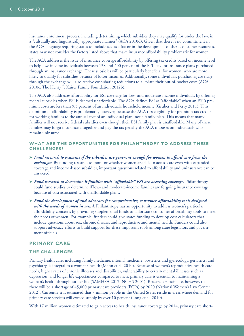insurance enrollment process, including determining which subsidies they may qualify for under the law, in a "culturally and linguistically appropriate manner" (ACA 2010d). Given that there is no commitment in the ACA language requiring states to include sex as a factor in the development of these consumer resources, states may not consider the factors listed above that make insurance affordability problematic for women.

The ACA addresses the issue of insurance coverage affordability by offering tax credits based on income level to help low-income individuals between 138 and 400 percent of the FPL pay for insurance plans purchased through an insurance exchange. These subsidies will be particularly beneficial for women, who are more likely to qualify for subsidies because of lower incomes. Additionally, some individuals purchasing coverage through the exchange will also receive cost-sharing reductions to alleviate their out-of-pocket costs (ACA 2010e; The Henry J. Kaiser Family Foundation 2012b).

The ACA also addresses affordability for ESI coverage for low- and moderate-income individuals by offering federal subsidies when ESI is deemed unaffordable. The ACA defines ESI as "affordable" when an ESI's premium costs are less than 9.5 percent of an individual's household income (Gruber and Perry 2011). This definition of affordability is problematic, however, because the ACA ties eligibility for premium tax credits for working families to the annual cost of an individual plan, not a family plan. This means that many families will not receive federal subsidies even though their ESI family plan is unaffordable. Many of these families may forgo insurance altogether and pay the tax penalty the ACA imposes on individuals who remain uninsured.

#### **WHAT ARE THE OPPORTUNITIES FOR PHILANTHROPY TO ADDRESS THESE CHALLENGES?**

- **➤** *Fund research to examine if the subsidies are generous enough for women to afford care from the exchanges.* By funding research to monitor whether women are able to access care even with expanded coverage and income-based subsidies, important questions related to affordability and uninsurance can be answered.
- **➤** *Fund research to determine if families with "affordable" ESI are accessing coverage.* Philanthropy could fund studies to determine if low- and moderate-income families are forgoing insurance coverage because of cost associated with unaffordable plans.
- **➤** *Fund the development of and advocacy for comprehensive, consumer affordability tools designed with the needs of women in mind*. Philanthropy has an opportunity to address women's particular affordability concerns by providing supplemental funds to tailor state consumer affordability tools to meet the needs of women. For example, funders could give states funding to develop cost calculators that include questions about sex, chronic disease, and reproductive and mental health. Funders could also support advocacy efforts to build support for these important tools among state legislators and government officials.

#### **PRIMARY CARE**

#### **THE CHALLENGES**

Primary health care, including family medicine, internal medicine, obstetrics and gynecology, geriatrics, and psychiatry, is integral to a woman's health (Mann et al. 2010). Because of women's reproductive health care needs, higher rates of chronic illnesses and disabilities, vulnerability to certain mental illnesses such as depression, and longer life expectancies compared to men, primary care is essential to maintaining a woman's health throughout her life (SAMHSA 2012; NCHS 2001). Researchers estimate, however, that there will be a shortage of 45,000 primary care providers (PCPs) by 2020 (National Women's Law Center 2012). Currently it is estimated that 7 million people in the United States reside in areas where demand for primary care services will exceed supply by over 10 percent (Long et al. 2010).

With 17 million women estimated to gain access to health insurance coverage by 2014, primary care short-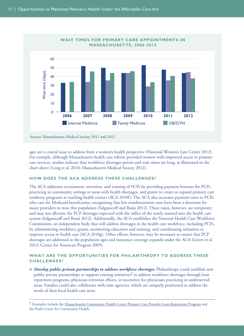

ages are a crucial issue to address from a women's health perspective (National Women's Law Center 2012). For example, although Massachusetts health care reform provided women with improved access to primary care services, studies indicate that workforce shortages persist and wait times are long, as illustrated in the chart above (Long et al. 2010; Massachusetts Medical Society 2012).

#### **HOW DOES THE ACA ADDRESS THESE CHALLENGES?**

The ACA addresses recruitment, retention, and training of PCPs by providing payment bonuses for PCPs practicing in community settings or areas with health shortages, and grants to create or expand primary care residency programs at teaching health centers (ACA 2010f). The ACA also increases payment rates to PCPs who care for Medicaid beneficiaries, recognizing that low reimbursement rates have been a deterrent for many providers to treat this population (Salganicoff and Ranji 2012). These raises, however, are temporary and may not alleviate the PCP shortages expected with the influx of the newly insured into the health care system (Salganicoff and Ranji 2012). Additionally, the ACA establishes the National Health Care Workforce Commission, an independent body that will address shortages in the health care workforce, including PCPs, by administering workforce grants, monitoring education and training, and coordinating initiatives to improve access to health care (ACA 2010g). Other efforts, however, may be necessary to ensure that PCP shortages are addressed as the population ages and insurance coverage expands under the ACA (Green et al. 2013; Center for American Progress 2009).

#### **WHAT ARE THE OPPORTUNITIES FOR PHILANTHROPY TO ADDRESS THESE CHALLENGES?**

**➤** *Develop public-private partnerships to address workforce shortages.* Philanthropy could establish new public-private partnerships or support existing initiatives<sup>2</sup> to address workforce shortages through loan repayment programs, physician retention efforts, or incentives for physicians practicing in underserved areas. Funders could also collaborate with state agencies, which are uniquely positioned to address the needs of their local health care areas.

<sup>&</sup>lt;sup>2</sup> Examples include the [Massachusetts Community Health Center Primary Care Provider Loan Repayment Program](http://www.massleague.org/Programs/PrimaryCareProviderInitiatives/LoanRepaymentProgram-CHC.php) and [the Kraft Center for Community Health.](http://www.kraftcommunityhealth.org/)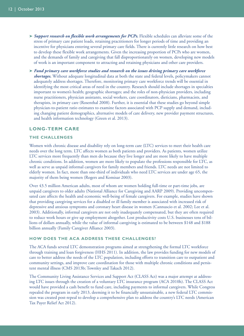- **➤** *Support research on flexible work arrangements for PCPs.* Flexible schedules can alleviate some of the stress of primary care patient loads, retaining practitioners for longer periods of time and providing an incentive for physicians entering several primary care fields. There is currently little research on how best to develop these flexible work arrangements. Given the increasing proportion of PCPs who are women, and the demands of family and caregiving that fall disproportionately on women, developing new models of work is an important component to attracting and retaining physicians and other care providers.
- **➤** *Fund primary care workforce studies and research on the issues driving primary care workforce shortages.* Without adequate longitudinal data at both the state and federal levels, policymakers cannot adequately address shortages. Therefore, monitoring primary care workforce trends will be essential in identifying the most critical areas of need in the country. Research should include shortages in specialties important to women's health; geographic shortages; and the roles of non-physician providers, including nurse practitioners, physician assistants, social workers, care coordinators, dieticians, pharmacists, and therapists, in primary care (Rosenthal 2008). Further, it is essential that these studies go beyond simple physician-to-patient ratio estimates to examine factors associated with PCP supply and demand, including changing patient demographics, alternative models of care delivery, new provider payment structures, and health information technology (Green et al. 2013).

#### **LONG-TERM CARE**

#### **THE CHALLENGES**

Women with chronic disease and disability rely on long-term care (LTC) services to meet their health care needs over the long term. LTC affects women as both patients and providers. As patients, women utilize LTC services more frequently than men do because they live longer and are more likely to have multiple chronic conditions. In addition, women are more likely to populate the professions responsible for LTC, as well as serve as unpaid informal caregivers for family members and friends. LTC needs are not limited to elderly women. In fact, more than one-third of individuals who need LTC services are under age 65, the majority of them being women (Rogers and Komisar 2003).

Over 43.5 million American adults, most of whom are women holding full-time or part-time jobs, are unpaid caregivers to older adults (National Alliance for Caregiving and AARP 2009). Providing uncompensated care affects the health and economic well-being of female caregivers. For example, studies have shown that providing caregiving services for a disabled or ill family member is associated with increased risk of depressive and anxious symptoms and coronary heart disease in women (Cannuscio et al. 2002; Lee et al. 2003). Additionally, informal caregivers are not only inadequately compensated, but they are often required to reduce work hours or give up employment altogether. Lost productivity costs U.S. businesses tens of billions of dollars annually, while the value of informal caregiving is estimated to be between \$148 and \$188 billion annually (Family Caregiver Alliance 2003).

#### **HOW DOES THE ACA ADDRESS THESE CHALLENGES?**

The ACA funds several LTC demonstration programs aimed at strengthening the formal LTC workforce through training and loan forgiveness (HHS 2011). In addition, the law provides funding for new models of care to better address the needs of the LTC population, including efforts to transition care to outpatient and community settings, and improve care coordination for those with multiple chronic conditions and persistent mental illness (CMS 2013b; Townley and Takach 2012).

The Community Living Assistance Services and Support Act (CLASS Act) was a major attempt at addressing LTC issues through the creation of a voluntary LTC insurance program (ACA 2010h). The CLASS Act would have provided a cash benefit to fund care, including payments to informal caregivers. While Congress repealed the program in early 2013, deeming it to be financially unsustainable, a new federal LTC commission was created post-repeal to develop a comprehensive plan to address the country's LTC needs (American Tax Payer Relief Act 2012).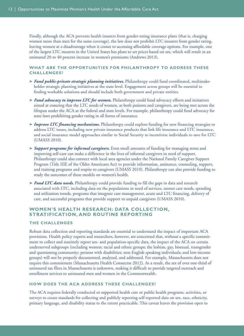Finally, although the ACA prevents health insurers from gender-rating insurance plans (that is, charging women more than men for the same coverage), the law does not prohibit LTC insurers from gender rating, leaving women at a disadvantage when it comes to accessing affordable coverage options. For example, one of the largest LTC insurers in the United States has plans to set prices based on sex, which will result in an estimated 20 to 40 percent increase in women's premiums (Andrews 2013).

#### **WHAT ARE THE OPPORTUNITIES FOR PHILANTHROPY TO ADDRESS THESE CHALLENGES?**

- **➤** *Fund public-private strategic planning initiatives.* Philanthropy could fund coordinated, multistakeholder strategic planning initiatives at the state level. Engagement across groups will be essential to finding workable solutions and should include both government and private entities.
- **➤** *Fund advocacy to improve LTC for women.* Philanthropy could fund advocacy efforts and initiatives aimed at ensuring that the LTC needs of women, as both patients and caregivers, are being met across the lifespan under the ACA at the federal and state levels. For example, philanthropy could fund advocacy for state laws prohibiting gender rating in all forms of insurance.
- **➤** *Improve LTC financing mechanisms.* Philanthropy could explore funding for new financing strategies to address LTC issues, including new private insurance products that link life insurance and LTC insurance, and social insurance model approaches similar to Social Security to incentivize individuals to save for LTC (UMASS 2010).
- **➤** *Support programs for informal caregivers.* Even small amounts of funding for managing stress and improving self-care can make a difference in the lives of informal caregivers in need of support. Philanthropy could also connect with local area agencies under the National Family Caregiver Support Program (Title IIIE of the Older Americans Act) to provide information, assistance, counseling, support, and training programs and respite to caregivers (UMASS 2010). Philanthropy can also provide funding to study the outcomes of these models on women's health.
- **➤** *Fund LTC data needs.* Philanthropy could provide funding to fill the gaps in data and research associated with LTC, including data on the populations in need of services, unmet care needs, spending and utilization trends, programs that integrate care management, acute and LTC financing, delivery of care, and successful programs that provide support to unpaid caregivers (UMASS 2010).

#### **WOMEN'S HEALTH RESEARCH: DATA COLLECTION, STRATIFICATION, AND ROUTINE REPORTING**

#### **THE CHALLENGES**

Robust data collection and reporting standards are essential to understand the impact of important ACA provisions. Health policy experts and researchers, however, are concerned that, without a specific commitment to collect and routinely report sex- and population-specific data, the impact of the ACA on certain underserved subgroups (including women; racial and ethnic groups; the lesbian, gay, bisexual, transgender and questioning community; persons with disabilities; non-English speaking individuals; and low-income groups) will not be properly documented, analyzed, and addressed. For example, Massachusetts does not require this commitment (Massachusetts Health Connector 2012). As a result, the sex of over one-third of uninsured tax filers in Massachusetts is unknown, making it difficult to provide targeted outreach and enrollment services to uninsured men and women in the Commonwealth.

#### **HOW DOES THE ACA ADDRESS THESE CHALLENGES?**

The ACA requires federally conducted or supported health care or public health programs, activities, or surveys to create standards for collecting and publicly reporting self-reported data on sex, race, ethnicity, primary language, and disability status to the extent practicable. This caveat leaves the provision open to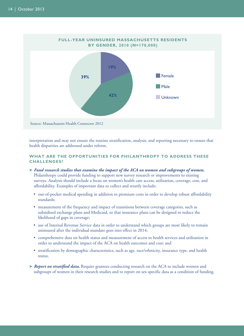

interpretation and may not ensure the routine stratification, analysis, and reporting necessary to ensure that health disparities are addressed under reform.

#### **WHAT ARE THE OPPORTUNITIES FOR PHILANTHROPY TO ADDRESS THESE CHALLENGES?**

- **➤** *Fund research studies that examine the impact of the ACA on women and subgroups of women.* Philanthropy could provide funding to support new survey research or improvements to existing surveys. Analysis should include a focus on women's health care access, utilization, coverage, cost, and affordability. Examples of important data to collect and stratify include:
	- out-of-pocket medical spending in addition to premium costs in order to develop robust affordability standards;
	- measurement of the frequency and impact of transitions between coverage categories, such as subsidized exchange plans and Medicaid, so that insurance plans can be designed to reduce the likelihood of gaps in coverage;
	- use of Internal Revenue Service data in order to understand which groups are most likely to remain uninsured after the individual mandate goes into effect in 2014;
	- comprehensive data on health status and measurement of access to health services and utilization in order to understand the impact of the ACA on health outcomes and cost; and
	- stratification by demographic characteristics, such as age, race/ethnicity, insurance type, and health status.
- **►** *Report on stratified data*. Require grantees conducting research on the ACA to include women and subgroups of women in their research studies and to report on sex-specific data as a condition of funding.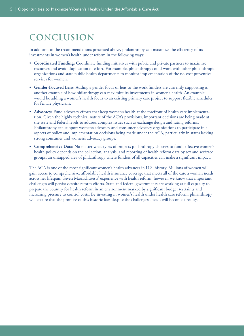## **conclusion**

In addition to the recommendations presented above, philanthropy can maximize the efficiency of its investments in women's health under reform in the following ways:

- **Coordinated Funding:** Coordinate funding initiatives with public and private partners to maximize resources and avoid duplication of effort. For example, philanthropy could work with other philanthropic organizations and state public health departments to monitor implementation of the no-cost preventive services for women.
- **Gender-Focused Lens:** Adding a gender focus or lens to the work funders are currently supporting is another example of how philanthropy can maximize its investments in women's health. An example would be adding a women's health focus to an existing primary care project to support flexible schedules for female physicians.
- **Advocacy:** Fund advocacy efforts that keep women's health at the forefront of health care implementation. Given the highly technical nature of the ACA's provisions, important decisions are being made at the state and federal levels to address complex issues such as exchange design and rating reforms. Philanthropy can support women's advocacy and consumer advocacy organizations to participate in all aspects of policy and implementation decisions being made under the ACA, particularly in states lacking strong consumer and women's advocacy groups.
- **Comprehensive Data:** No matter what types of projects philanthropy chooses to fund, effective women's health policy depends on the collection, analysis, and reporting of health reform data by sex and sex/race groups, an untapped area of philanthropy where funders of all capacities can make a significant impact.

The ACA is one of the most significant women's health advances in U.S. history. Millions of women will gain access to comprehensive, affordable health insurance coverage that meets all of the care a woman needs across her lifespan. Given Massachusetts' experience with health reform, however, we know that important challenges will persist despite reform efforts. State and federal governments are working at full capacity to prepare the country for health reform in an environment marked by significant budget restraints and increasing pressure to control costs. By investing in women's health under health care reform, philanthropy will ensure that the promise of this historic law, despite the challenges ahead, will become a reality.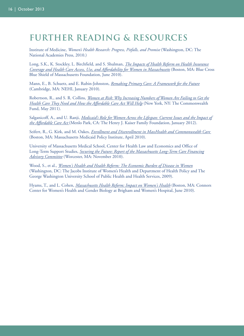## **FURTHER READING & RESOURCES**

Institute of Medicine, *Women's Health Research: Progress, Pitfalls, and Promise* (Washington, DC: The National Academies Press, 2010.)

Long, S.K., K. Stockley, L. Birchfield, and S. Shulman, *[The Impacts of Health Reform on Health Insurance](http://masshealthpolicyforum.brandeis.edu/forums/Documents/Issue Brief_UrbanBCBSMAF.pdf) [Coverage and Health Care Access, Use, and Affordability for Women in Massachusetts](http://masshealthpolicyforum.brandeis.edu/forums/Documents/Issue Brief_UrbanBCBSMAF.pdf)* (Boston, MA: Blue Cross Blue Shield of Massachusetts Foundation, June 2010).

Mann, E., B. Schuetz, and E. Rubin-Johnston, *[Remaking Primary Care: A Framework for the Future](http://www.nehi.net/publications/45/remaking_primary_care_a_framework_for_the_future)* (Cambridge, MA: NEHI, January 2010).

Robertson, R., and S. R. Collins, *[Women at Risk: Why Increasing Numbers of Women Are Failing to Get the](http://www.commonwealthfund.org/~/media/Files/Publications/Issue Brief/2011/May/1502_Robertson_women_at_risk_reform_brief_v3.pdf) [Health Care They Need and How the Affordable Care Act Will Help](http://www.commonwealthfund.org/~/media/Files/Publications/Issue Brief/2011/May/1502_Robertson_women_at_risk_reform_brief_v3.pdf)* (New York, NY: The Commonwealth Fund, May 2011).

Salganicoff, A., and U. Ranji, *[Medicaid's Role for Women Across the Lifespan: Current Issues and the Impact of](http://www.kff.org/womenshealth/upload/7213-03.pdf) [the Affordable Care Act](http://www.kff.org/womenshealth/upload/7213-03.pdf)* (Menlo Park, CA: The Henry J. Kaiser Family Foundation, January 2012).

Seifert, R., G. Kirk, and M. Oakes, *[Enrollment and Disenrollment in MassHealth and Commonwealth Care](http://bluecrossmafoundation.org/sites/default/files/download/publication/2010_4_21_disenrollment_mh_cc_0.pdf)* (Boston, MA: Massachusetts Medicaid Policy Institute, April 2010).

University of Massachusetts Medical School, Center for Health Law and Economics and Office of Long-Term Support Studies, *[Securing the Future: Report of the Massachusetts Long-Term Care Financing](http://www.umassmed.edu/uploadedFiles/CWM_CHLE/About/Final Report - Securing the Future.pdf) [Advisory Committee](http://www.umassmed.edu/uploadedFiles/CWM_CHLE/About/Final Report - Securing the Future.pdf)* (Worcester, MA: November 2010).

Wood, S., et al., *[Women's Health and Health Reform: The Economic Burden of Disease in Women](http://www.jiwh.org/attachments/Women %26 Reform - Chronic Disease.pdf)* (Washington, DC: The Jacobs Institute of Women's Health and Department of Health Policy and The George Washington University School of Public Health and Health Services, 2009).

Hyams, T., and L. Cohen, *[Massachusetts Health Reform: Impact on Women's Health](http://masshealthpolicyforum.brandeis.edu/forums/Documents/Issue Brief_ConnorCenter.pdf)* (Boston, MA: Connors Center for Women's Health and Gender Biology at Brigham and Women's Hospital, June 2010).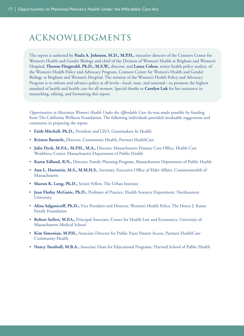## **acknowledgments**

The report is authored by **Paula A. Johnson, M.D., M.P.H.,** executive director of the Connors Center for Women's Health and Gender Biology and chief of the Division of Women's Health at Brigham and Women's Hospital; **Therese Fitzgerald, Ph.D., M.S.W.,** director, and **Laura Cohen**, senior health policy analyst, of the Women's Health Policy and Advocacy Program, Connors Center for Women's Health and Gender Biology at Brigham and Women's Hospital. The mission of the Women's Health Policy and Advocacy Program is to inform and advance policy at all levels—local, state, and national—to promote the highest standard of health and health care for all women. Special thanks to **Carolyn Luk** for her assistance in researching, editing, and formatting this report.

*Opportunities to Maximize Women's Health Under the Affordable Care Act* was made possible by funding from The California Wellness Foundation. The following individuals provided invaluable suggestions and comments in preparing the report.

- **Faith Mitchell, Ph.D.,** President and CEO, Grantmakers In Health
- **Kristen Barnicle,** Director, Community Health, Partners HealthCare
- **Julia Dyck, M.P.A., M.P.H., M.A.,** Director, Massachusetts Primary Care Office, Health Care Workforce Center, Massachusetts Department of Public Health
- **Karen Edlund, R.N.,** Director, Family Planning Program, Massachusetts Department of Public Health
- **Ann L. Hartstein, M.S., M.M.H.S.,** Secretary, Executive Office of Elder Affairs, Commonwealth of Massachusetts
- **Sharon K. Long, Ph.D.,** Senior Fellow, The Urban Institute
- **Jean Flatley McGuire, Ph.D.,** Professor of Practice, Health Sciences Department, Northeastern **University**
- **Alina Salganicoff, Ph.D.,** Vice President and Director, Women's Health Policy, The Henry J. Kaiser Family Foundation
- **Robert Seifert, M.P.A.,** Principal Associate, Center for Health Law and Economics, University of Massachusetts Medical School
- **Kim Simonian, M.P.H.,** Associate Director for Public Payer Patient Access, Partners HealthCare-Community Health
- **Nancy Turnbull, M.B.A.,** Associate Dean for Educational Programs, Harvard School of Public Health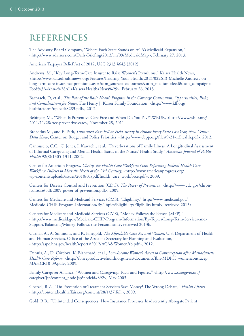## **references**

The Advisory Board Company, "Where Each State Stands on ACA's Medicaid Expansion," <http://www.advisory.com/Daily-Briefing/2012/11/09/MedicaidMap>, February 27, 2013.

American Taxpayer Relief Act of 2012, USC 2313 §643 (2012).

Andrews, M., "Key Long-Term-Care Insurer to Raise Women's Premiums," Kaiser Health News, <http://www.kaiserhealthnews.org/Features/Insuring-Your-Health/2013/022613-Michelle-Andrews-onlong-term-care-insurance-premiums.aspx?utm\_source=feedburner&utm\_medium=feed&utm\_campaign= Feed%3A+khn+%28All+Kaiser+Health+News%29>, February 26, 2013.

Bachrach, D, et al., *The Role of the Basic Health Program in the Coverage Continuum: Opportunities, Risks, and Considerations for States*, The Henry J. Kaiser Family Foundation, <http://www.kff.org/ healthreform/upload/8283.pdf>, 2012.

Bebinger, M., "When Is Preventive Care Free and When Do You Pay?",WBUR, <http://www.wbur.org/ 2011/11/28/free-preventive-care>, November 28, 2011.

Broaddus M., and E. Park, *Uninsured Rate Fell or Held Steady in Almost Every State Last Year, New Census Data Show*, Center on Budget and Policy Priorities, <http://www.cbpp.org/files/9-21-12health.pdf>, 2012.

Cannuscio, C.C., C. Jones, I. Kawachi, et al., "Reverberations of Family Illness: A Longitudinal Assessment of Informal Caregiving and Mental Health Status in the Nurses' Health Study," *American Journal of Public Health* 92(8):1305-1311, 2002.

Center for American Progress, *Closing the Health Care Workforce Gap: Reforming Federal Health Care Workforce Policies to Meet the Needs of the 21st Century*, <http://www.americanprogress.org/ wp-content/uploads/issues/2010/01/pdf/health\_care\_workforce.pdf>, 2009.

Centers for Disease Control and Prevention (CDC), *The Power of Prevention*, <http://www.cdc.gov/chronicdisease/pdf/2009-power-of-prevention.pdf>, 2009.

Centers for Medicare and Medicaid Services (CMS), "Eligibility," http://www.medicaid.gov/ Medicaid-CHIP-Program-Information/By-Topics/Eligibility/Eligibility.html>, retrieved 2013a.

Centers for Medicare and Medicaid Services (CMS), "Money Follows the Person (MFP)," <http://www.medicaid.gov/Medicaid-CHIP-Program-Information/By-Topics/Long-Term-Services-and-Support/Balancing/Money-Follows-the-Person.html>, retrieved 2013b.

Cuellar, A., A. Simmons, and K. Finegold, *The Affordable Care Act and Women*, U.S. Department of Health and Human Services, Office of the Assistant Secretary for Planning and Evaluation, <http://aspe.hhs.gov/health/reports/2012/ACA&Women/rb.pdf>, 2012.

Dennis, A., D. Córdova, K. Blanchard, et al., *Low-Income Women's Access to Contraception after Massachusetts* Health Care Reform, <http://ibisreproductivehealth.org/news/documents/Ibis-MDPH\_womencontracep MAHCR10-09.pdf>, 2009.

Family Caregiver Alliance, "Women and Caregiving: Facts and Figures," <http://www.caregiver.org/ caregiver/jsp/content\_node.jsp?nodeid=892>, May 2003.

Goetzel, R.Z., "Do Prevention or Treatment Services Save Money? The Wrong Debate," *Health Affairs*, <http://content.healthaffairs.org/content/28/1/37.full>, 2009.

Gold, R.B., "Unintended Consequences: How Insurance Processes Inadvertently Abrogate Patient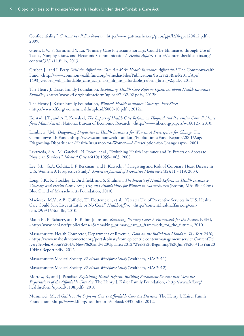Confidentiality," *Guttmacher Policy Review*, <http://www.guttmacher.org/pubs/gpr/l2/4/gpr120412.pdf>, 2009.

Green, L.V., S. Savin, and Y. Lu, "Primary Care Physician Shortages Could Be Eliminated through Use of Teams, Nonphysicians, and Electronic Communication," *Health Affairs*, <http://content.healthaffairs.org/ content/32/1/11.full>, 2013.

Gruber, J., and I. Perry, *Will the Affordable Care Act Make Health Insurance Affordable?*, The Commonwealth Fund, <http://www.commonwealthfund.org/~/media/Files/Publications/Issue%20Brief/2011/Apr/ 1493\_Gruber\_will\_affordable\_care\_act\_make\_hlt\_ins\_affordable\_reform\_brief\_v2.pdf>, 2011.

The Henry J. Kaiser Family Foundation, *Explaining Health Care Reform: Questions about Health Insurance Subsidies*, <http://www.kff.org/healthreform/upload/7962-02.pdf>, 2012b.

The Henry J. Kaiser Family Foundation, *Women's Health Insurance Coverage: Fact Sheet*, <http://www.kff.org/womenshealth/upload/6000-10.pdf>, 2012a.

Kolstad, J.T., and A.E. Kowalski, *The Impact of Health Care Reform on Hospital and Preventive Care: Evidence from Massachusetts*, National Bureau of Economic Research, <http://www.nber.org/papers/w16012>, 2010.

Lambrew, J.M., *Diagnosing Disparities in Health Insurance for Women: A Prescription for Change*, The Commonwealth Fund, <http://www.commonwealthfund.org/Publications/Fund-Reports/2001/Aug/ Diagnosing-Disparities-in-Health-Insurance-for-Women—A-Prescription-for-Change.aspx>, 2001.

Lavarreda, S.A., M. Gatchell, N. Ponce, et al., "Switching Health Insurance and Its Effects on Access to Physician Services," *Medical Care* 46(10):1055-1063, 2008.

Lee, S.L., G.A. Colditz, L.F. Berkman, and I. Kawachi, "Caregiving and Risk of Coronary Heart Disease in U.S. Women: A Prospective Study," *American Journal of Preventive Medicine* 24(2):113-119, 2003.

Long, S.K., K. Stockley, L. Birchfield, and S. Shulman*, The Impacts of Health Reform on Health Insurance Coverage and Health Care Access, Use, and Affordability for Women in Massachusetts* (Boston, MA: Blue Cross Blue Shield of Massachusetts Foundation, 2010).

Maciosek, M.V., A.B. Coffield, T.J. Flottemesch, et al., "Greater Use of Preventive Services in U.S. Health Care Could Save Lives at Little or No Cost," *Health Affairs*, <http://content.healthaffairs.org/content/29/9/1656.full>, 2010.

Mann E., B. Schuetz, and E. Rubin-Johnston, *Remaking Primary Care: A Framework for the Future*, NEHI, <http://www.nehi.net/publications/45/remaking\_primary\_care\_a\_framework\_for\_the\_future>, 2010.

Massachusetts Health Connector, Department of Revenue, *Data on the Individual Mandate: Tax Year 2010*, <https://www.mahealthconnector.org/portal/binary/com.epicentric.contentmanagement.servlet.ContentDel iveryServlet/About%20Us/News%20and%20Updates/2012/Week%20Beginning%20June%203/TaxYear20 10FinalReport.pdf>, 2012.

Massachusetts Medical Society, *Physician Workforce Study* (Waltham, MA: 2011).

Massachusetts Medical Society, *Physician Workforce Study* (Waltham, MA: 2012).

Morrow, B., and J. Paradise, *Explaining Health Reform: Building Enrollment Systems that Meet the Expectations of the Affordable Care Act*, The Henry J. Kaiser Family Foundation, <http://www.kff.org/ healthreform/upload/8108.pdf>, 2010.

Musumeci, M., *A Guide to the Supreme Court's Affordable Care Act Decision*, The Henry J. Kaiser Family Foundation, <http://www.kff.org/healthreform/upload/8332.pdf>, 2012.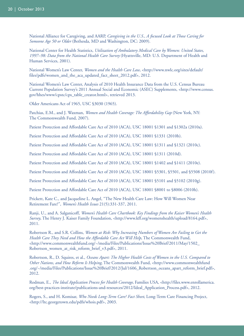National Alliance for Caregiving, and AARP, *Caregiving in the U.S., A focused Look at Those Caring for Someone Age 50 or Older* (Bethesda, MD and Washington, DC: 2009).

National Center for Health Statistics, *Utilization of Ambulatory Medical Care by Women: United States, 1997–98: Data from the National Health Care Survey* (Hyattsville, MD: U.S. Department of Health and Human Services, 2001).

National Women's Law Center, *Women and the Health Care Law*, <http://www.nwlc.org/sites/default/ files/pdfs/women\_and\_the\_aca\_updated\_fact\_sheet\_2012.pdf>, 2012.

National Women's Law Center, Analysis of 2010 Health Insurance Data from the U.S. Census Bureau Current Population Survey's 2011 Annual Social and Economic (ASEC) Supplements, <http://www.census. gov/hhes/www/cpstc/cps\_table\_creator.html>, retrieved 2013.

Older Americans Act of 1965, USC §3030 (1965).

Patchias, E.M., and J. Waxman, *Women and Health Coverage: The Affordability Gap* (New York, NY: The Commonwealth Fund, 2007).

Patient Protection and Affordable Care Act of 2010 (ACA), USC 18001 §1301 and §1302a (2010a).

Patient Protection and Affordable Care Act of 2010 (ACA), USC 18001 §1331 (2010b).

Patient Protection and Affordable Care Act of 2010 (ACA), USC 18001 §1311 and §1321 (2010c).

Patient Protection and Affordable Care Act of 2010 (ACA), USC 18001 §1311 (2010d).

Patient Protection and Affordable Care Act of 2010 (ACA), USC 18001 §1402 and §1411 (2010e).

Patient Protection and Affordable Care Act of 2010 (ACA), USC 18001 §5301, §5501, and §5508 (2010f).

Patient Protection and Affordable Care Act of 2010 (ACA), USC 18001 §5101 and §5102 (2010g).

Patient Protection and Affordable Care Act of 2010 (ACA), USC 18001 §8001 to §8006 (2010h).

Prickett, Kate C., and Jacqueline L. Angel, "The New Health Care Law: How Will Women Near Retirement Fare?", *Women's Health Issues* 21(5):331-337, 2011.

Ranji, U., and A. Salganicoff, *Women's Health Care Chartbook: Key Findings from the Kaiser Women's Health Survey*, The Henry J. Kaiser Family Foundation, <http://www.kff.org/womenshealth/upload/8164.pdf>, 2011.

Robertson R., and S.R. Collins, *Women at Risk: Why Increasing Numbers of Women Are Failing to Get the Health Care They Need and How the Affordable Care Act Will Help*, The Commonwealth Fund,  $\text{http://www.commonwealthfund.org/~/media/Files/Publications/Issue%20Brief/2011/May/1502_})$ Robertson\_women\_at\_risk\_reform\_brief\_v3.pdf>, 2011.

Robertson, R., D. Squires, et al., *Oceans Apart: The Higher Health Costs of Women in the U.S. Compared to Other Nations, and How Reform Is Helping*, The Commonwealth Fund, <http://www.commonwealthfund .org/~/media/Files/Publications/Issue%20Brief/2012/Jul/1606\_Robertson\_oceans\_apart\_reform\_brief.pdf>, 2012.

Rodman, E., *The Ideal Application Process for Health Coverage*, Families USA, <http://files.www.enrollamerica. org/best-practices-institute/publications-and-resources/2012/Ideal\_Application\_Process.pdf>, 2012.

Rogers, S., and H. Komisar, *Who Needs Long-Term Care? Fact Sheet*, Long-Term Care Financing Project, <http://ltc.georgetown.edu/pdfs/whois.pdf>, 2003.